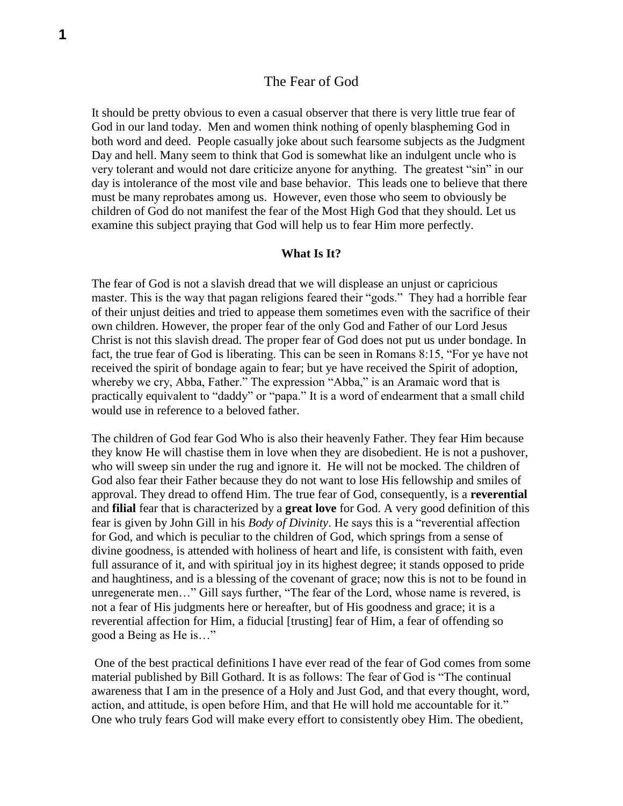# The Fear of God

It should be pretty obvious to even a casual observer that there is very little true fear of God in our land today. Men and women think nothing of openly blaspheming God in both word and deed. People casually joke about such fearsome subjects as the Judgment Day and hell. Many seem to think that God is somewhat like an indulgent uncle who is very tolerant and would not dare criticize anyone for anything. The greatest "sin" in our day is intolerance of the most vile and base behavior. This leads one to believe that there must be many reprobates among us. However, even those who seem to obviously be children of God do not manifest the fear of the Most High God that they should. Let us examine this subject praying that God will help us to fear Him more perfectly.

## **What Is It?**

The fear of God is not a slavish dread that we will displease an unjust or capricious master. This is the way that pagan religions feared their "gods." They had a horrible fear of their unjust deities and tried to appease them sometimes even with the sacrifice of their own children. However, the proper fear of the only God and Father of our Lord Jesus Christ is not this slavish dread. The proper fear of God does not put us under bondage. In fact, the true fear of God is liberating. This can be seen in Romans 8:15, "For ye have not received the spirit of bondage again to fear; but ye have received the Spirit of adoption, whereby we cry, Abba, Father." The expression "Abba," is an Aramaic word that is practically equivalent to "daddy" or "papa." It is a word of endearment that a small child would use in reference to a beloved father.

The children of God fear God Who is also their heavenly Father. They fear Him because they know He will chastise them in love when they are disobedient. He is not a pushover, who will sweep sin under the rug and ignore it. He will not be mocked. The children of God also fear their Father because they do not want to lose His fellowship and smiles of approval. They dread to offend Him. The true fear of God, consequently, is a **reverential** and **filial** fear that is characterized by a **great love** for God. A very good definition of this fear is given by John Gill in his *Body of Divinity*. He says this is a "reverential affection for God, and which is peculiar to the children of God, which springs from a sense of divine goodness, is attended with holiness of heart and life, is consistent with faith, even full assurance of it, and with spiritual joy in its highest degree; it stands opposed to pride and haughtiness, and is a blessing of the covenant of grace; now this is not to be found in unregenerate men…" Gill says further, "The fear of the Lord, whose name is revered, is not a fear of His judgments here or hereafter, but of His goodness and grace; it is a reverential affection for Him, a fiducial [trusting] fear of Him, a fear of offending so good a Being as He is…"

One of the best practical definitions I have ever read of the fear of God comes from some material published by Bill Gothard. It is as follows: The fear of God is "The continual awareness that I am in the presence of a Holy and Just God, and that every thought, word, action, and attitude, is open before Him, and that He will hold me accountable for it." One who truly fears God will make every effort to consistently obey Him. The obedient,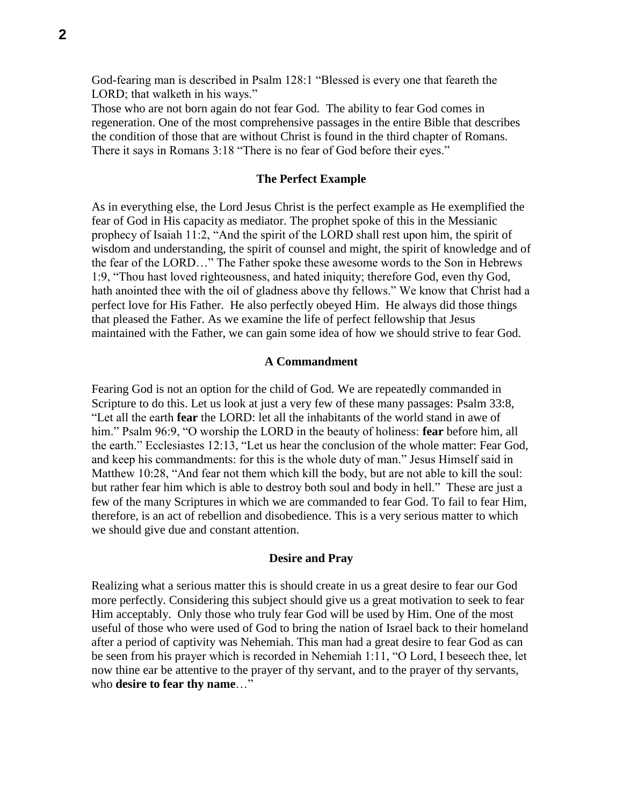God-fearing man is described in Psalm 128:1 "Blessed is every one that feareth the LORD; that walketh in his ways."

Those who are not born again do not fear God. The ability to fear God comes in regeneration. One of the most comprehensive passages in the entire Bible that describes the condition of those that are without Christ is found in the third chapter of Romans. There it says in Romans 3:18 "There is no fear of God before their eyes."

### **The Perfect Example**

As in everything else, the Lord Jesus Christ is the perfect example as He exemplified the fear of God in His capacity as mediator. The prophet spoke of this in the Messianic prophecy of Isaiah 11:2, "And the spirit of the LORD shall rest upon him, the spirit of wisdom and understanding, the spirit of counsel and might, the spirit of knowledge and of the fear of the LORD…" The Father spoke these awesome words to the Son in Hebrews 1:9, "Thou hast loved righteousness, and hated iniquity; therefore God, even thy God, hath anointed thee with the oil of gladness above thy fellows." We know that Christ had a perfect love for His Father. He also perfectly obeyed Him. He always did those things that pleased the Father. As we examine the life of perfect fellowship that Jesus maintained with the Father, we can gain some idea of how we should strive to fear God.

#### **A Commandment**

Fearing God is not an option for the child of God. We are repeatedly commanded in Scripture to do this. Let us look at just a very few of these many passages: Psalm 33:8, "Let all the earth **fear** the LORD: let all the inhabitants of the world stand in awe of him." Psalm 96:9, "O worship the LORD in the beauty of holiness: **fear** before him, all the earth." Ecclesiastes 12:13, "Let us hear the conclusion of the whole matter: Fear God, and keep his commandments: for this is the whole duty of man." Jesus Himself said in Matthew 10:28, "And fear not them which kill the body, but are not able to kill the soul: but rather fear him which is able to destroy both soul and body in hell." These are just a few of the many Scriptures in which we are commanded to fear God. To fail to fear Him, therefore, is an act of rebellion and disobedience. This is a very serious matter to which we should give due and constant attention.

### **Desire and Pray**

Realizing what a serious matter this is should create in us a great desire to fear our God more perfectly. Considering this subject should give us a great motivation to seek to fear Him acceptably. Only those who truly fear God will be used by Him. One of the most useful of those who were used of God to bring the nation of Israel back to their homeland after a period of captivity was Nehemiah. This man had a great desire to fear God as can be seen from his prayer which is recorded in Nehemiah 1:11, "O Lord, I beseech thee, let now thine ear be attentive to the prayer of thy servant, and to the prayer of thy servants, who **desire to fear thy name**…"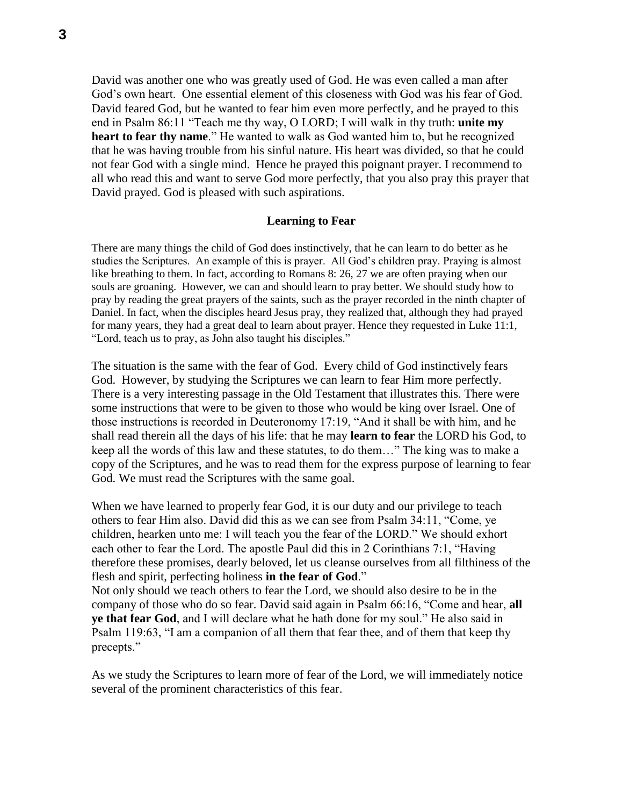David was another one who was greatly used of God. He was even called a man after God's own heart. One essential element of this closeness with God was his fear of God. David feared God, but he wanted to fear him even more perfectly, and he prayed to this end in Psalm 86:11 "Teach me thy way, O LORD; I will walk in thy truth: **unite my heart to fear thy name**." He wanted to walk as God wanted him to, but he recognized that he was having trouble from his sinful nature. His heart was divided, so that he could not fear God with a single mind. Hence he prayed this poignant prayer. I recommend to all who read this and want to serve God more perfectly, that you also pray this prayer that David prayed. God is pleased with such aspirations.

### **Learning to Fear**

There are many things the child of God does instinctively, that he can learn to do better as he studies the Scriptures. An example of this is prayer. All God's children pray. Praying is almost like breathing to them. In fact, according to Romans 8: 26, 27 we are often praying when our souls are groaning. However, we can and should learn to pray better. We should study how to pray by reading the great prayers of the saints, such as the prayer recorded in the ninth chapter of Daniel. In fact, when the disciples heard Jesus pray, they realized that, although they had prayed for many years, they had a great deal to learn about prayer. Hence they requested in Luke 11:1, "Lord, teach us to pray, as John also taught his disciples."

The situation is the same with the fear of God. Every child of God instinctively fears God. However, by studying the Scriptures we can learn to fear Him more perfectly. There is a very interesting passage in the Old Testament that illustrates this. There were some instructions that were to be given to those who would be king over Israel. One of those instructions is recorded in Deuteronomy 17:19, "And it shall be with him, and he shall read therein all the days of his life: that he may **learn to fear** the LORD his God, to keep all the words of this law and these statutes, to do them…" The king was to make a copy of the Scriptures, and he was to read them for the express purpose of learning to fear God. We must read the Scriptures with the same goal.

When we have learned to properly fear God, it is our duty and our privilege to teach others to fear Him also. David did this as we can see from Psalm 34:11, "Come, ye children, hearken unto me: I will teach you the fear of the LORD." We should exhort each other to fear the Lord. The apostle Paul did this in 2 Corinthians 7:1, "Having therefore these promises, dearly beloved, let us cleanse ourselves from all filthiness of the flesh and spirit, perfecting holiness **in the fear of God**." Not only should we teach others to fear the Lord, we should also desire to be in the

company of those who do so fear. David said again in Psalm 66:16, "Come and hear, **all ye that fear God**, and I will declare what he hath done for my soul." He also said in Psalm 119:63, "I am a companion of all them that fear thee, and of them that keep thy precepts."

As we study the Scriptures to learn more of fear of the Lord, we will immediately notice several of the prominent characteristics of this fear.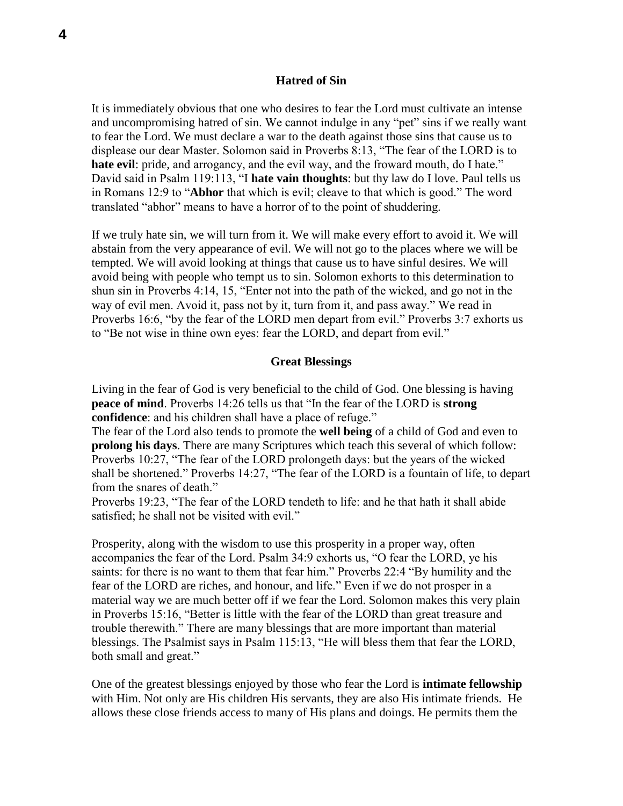#### **Hatred of Sin**

It is immediately obvious that one who desires to fear the Lord must cultivate an intense and uncompromising hatred of sin. We cannot indulge in any "pet" sins if we really want to fear the Lord. We must declare a war to the death against those sins that cause us to displease our dear Master. Solomon said in Proverbs 8:13, "The fear of the LORD is to **hate evil**: pride, and arrogancy, and the evil way, and the froward mouth, do I hate." David said in Psalm 119:113, "I **hate vain thoughts**: but thy law do I love. Paul tells us in Romans 12:9 to "**Abhor** that which is evil; cleave to that which is good." The word translated "abhor" means to have a horror of to the point of shuddering.

If we truly hate sin, we will turn from it. We will make every effort to avoid it. We will abstain from the very appearance of evil. We will not go to the places where we will be tempted. We will avoid looking at things that cause us to have sinful desires. We will avoid being with people who tempt us to sin. Solomon exhorts to this determination to shun sin in Proverbs 4:14, 15, "Enter not into the path of the wicked, and go not in the way of evil men. Avoid it, pass not by it, turn from it, and pass away." We read in Proverbs 16:6, "by the fear of the LORD men depart from evil." Proverbs 3:7 exhorts us to "Be not wise in thine own eyes: fear the LORD, and depart from evil."

## **Great Blessings**

Living in the fear of God is very beneficial to the child of God. One blessing is having **peace of mind**. Proverbs 14:26 tells us that "In the fear of the LORD is **strong confidence**: and his children shall have a place of refuge."

The fear of the Lord also tends to promote the **well being** of a child of God and even to **prolong his days**. There are many Scriptures which teach this several of which follow: Proverbs 10:27, "The fear of the LORD prolongeth days: but the years of the wicked shall be shortened." Proverbs 14:27, "The fear of the LORD is a fountain of life, to depart from the snares of death."

Proverbs 19:23, "The fear of the LORD tendeth to life: and he that hath it shall abide satisfied; he shall not be visited with evil."

Prosperity, along with the wisdom to use this prosperity in a proper way, often accompanies the fear of the Lord. Psalm 34:9 exhorts us, "O fear the LORD, ye his saints: for there is no want to them that fear him." Proverbs 22:4 "By humility and the fear of the LORD are riches, and honour, and life." Even if we do not prosper in a material way we are much better off if we fear the Lord. Solomon makes this very plain in Proverbs 15:16, "Better is little with the fear of the LORD than great treasure and trouble therewith." There are many blessings that are more important than material blessings. The Psalmist says in Psalm 115:13, "He will bless them that fear the LORD, both small and great."

One of the greatest blessings enjoyed by those who fear the Lord is **intimate fellowship** with Him. Not only are His children His servants, they are also His intimate friends. He allows these close friends access to many of His plans and doings. He permits them the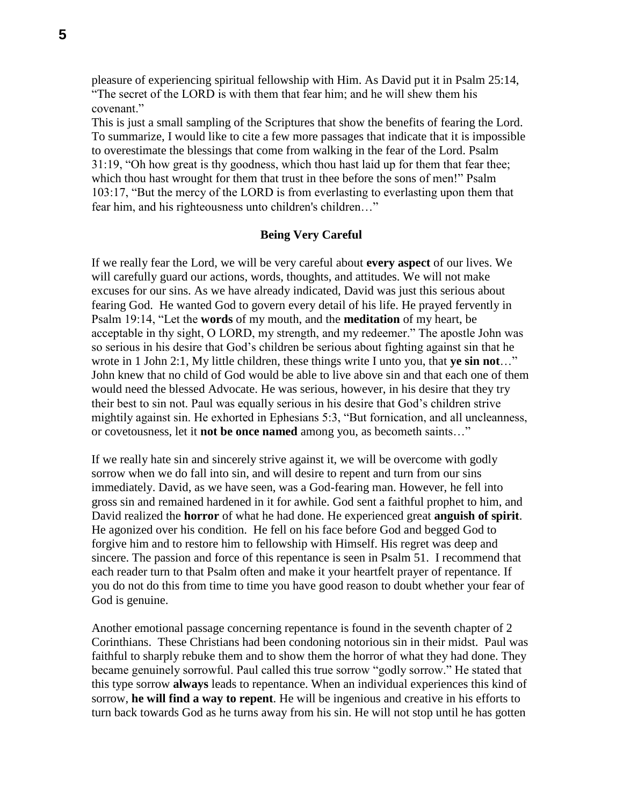pleasure of experiencing spiritual fellowship with Him. As David put it in Psalm 25:14, "The secret of the LORD is with them that fear him; and he will shew them his covenant."

This is just a small sampling of the Scriptures that show the benefits of fearing the Lord. To summarize, I would like to cite a few more passages that indicate that it is impossible to overestimate the blessings that come from walking in the fear of the Lord. Psalm 31:19, "Oh how great is thy goodness, which thou hast laid up for them that fear thee; which thou hast wrought for them that trust in thee before the sons of men!" Psalm 103:17, "But the mercy of the LORD is from everlasting to everlasting upon them that fear him, and his righteousness unto children's children…"

# **Being Very Careful**

If we really fear the Lord, we will be very careful about **every aspect** of our lives. We will carefully guard our actions, words, thoughts, and attitudes. We will not make excuses for our sins. As we have already indicated, David was just this serious about fearing God. He wanted God to govern every detail of his life. He prayed fervently in Psalm 19:14, "Let the **words** of my mouth, and the **meditation** of my heart, be acceptable in thy sight, O LORD, my strength, and my redeemer." The apostle John was so serious in his desire that God's children be serious about fighting against sin that he wrote in 1 John 2:1, My little children, these things write I unto you, that **ye sin not**…" John knew that no child of God would be able to live above sin and that each one of them would need the blessed Advocate. He was serious, however, in his desire that they try their best to sin not. Paul was equally serious in his desire that God's children strive mightily against sin. He exhorted in Ephesians 5:3, "But fornication, and all uncleanness, or covetousness, let it **not be once named** among you, as becometh saints…"

If we really hate sin and sincerely strive against it, we will be overcome with godly sorrow when we do fall into sin, and will desire to repent and turn from our sins immediately. David, as we have seen, was a God-fearing man. However, he fell into gross sin and remained hardened in it for awhile. God sent a faithful prophet to him, and David realized the **horror** of what he had done. He experienced great **anguish of spirit**. He agonized over his condition. He fell on his face before God and begged God to forgive him and to restore him to fellowship with Himself. His regret was deep and sincere. The passion and force of this repentance is seen in Psalm 51. I recommend that each reader turn to that Psalm often and make it your heartfelt prayer of repentance. If you do not do this from time to time you have good reason to doubt whether your fear of God is genuine.

Another emotional passage concerning repentance is found in the seventh chapter of 2 Corinthians. These Christians had been condoning notorious sin in their midst. Paul was faithful to sharply rebuke them and to show them the horror of what they had done. They became genuinely sorrowful. Paul called this true sorrow "godly sorrow." He stated that this type sorrow **always** leads to repentance. When an individual experiences this kind of sorrow, **he will find a way to repent**. He will be ingenious and creative in his efforts to turn back towards God as he turns away from his sin. He will not stop until he has gotten